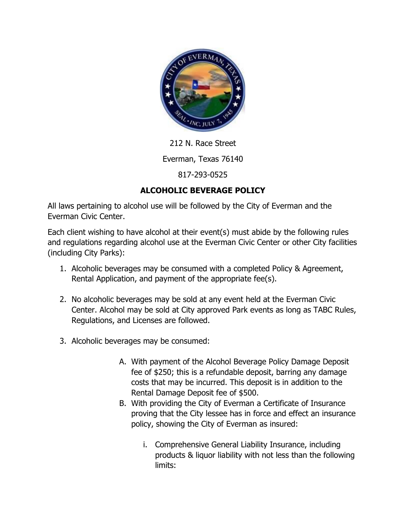

212 N. Race Street

Everman, Texas 76140

817-293-0525

## **ALCOHOLIC BEVERAGE POLICY**

All laws pertaining to alcohol use will be followed by the City of Everman and the Everman Civic Center.

Each client wishing to have alcohol at their event(s) must abide by the following rules and regulations regarding alcohol use at the Everman Civic Center or other City facilities (including City Parks):

- 1. Alcoholic beverages may be consumed with a completed Policy & Agreement, Rental Application, and payment of the appropriate fee(s).
- 2. No alcoholic beverages may be sold at any event held at the Everman Civic Center. Alcohol may be sold at City approved Park events as long as TABC Rules, Regulations, and Licenses are followed.
- 3. Alcoholic beverages may be consumed:
	- A. With payment of the Alcohol Beverage Policy Damage Deposit fee of \$250; this is a refundable deposit, barring any damage costs that may be incurred. This deposit is in addition to the Rental Damage Deposit fee of \$500.
	- B. With providing the City of Everman a Certificate of Insurance proving that the City lessee has in force and effect an insurance policy, showing the City of Everman as insured:
		- i. Comprehensive General Liability Insurance, including products & liquor liability with not less than the following limits: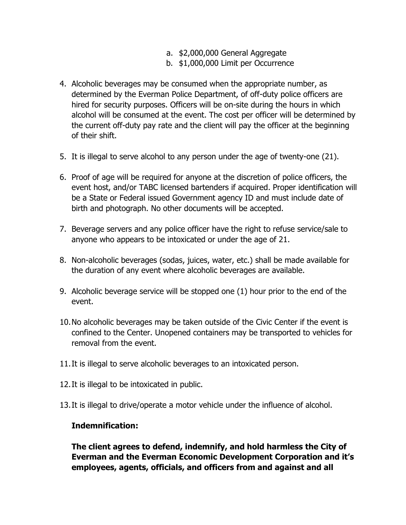- a. \$2,000,000 General Aggregate
- b. \$1,000,000 Limit per Occurrence
- 4. Alcoholic beverages may be consumed when the appropriate number, as determined by the Everman Police Department, of off-duty police officers are hired for security purposes. Officers will be on-site during the hours in which alcohol will be consumed at the event. The cost per officer will be determined by the current off-duty pay rate and the client will pay the officer at the beginning of their shift.
- 5. It is illegal to serve alcohol to any person under the age of twenty-one (21).
- 6. Proof of age will be required for anyone at the discretion of police officers, the event host, and/or TABC licensed bartenders if acquired. Proper identification will be a State or Federal issued Government agency ID and must include date of birth and photograph. No other documents will be accepted.
- 7. Beverage servers and any police officer have the right to refuse service/sale to anyone who appears to be intoxicated or under the age of 21.
- 8. Non-alcoholic beverages (sodas, juices, water, etc.) shall be made available for the duration of any event where alcoholic beverages are available.
- 9. Alcoholic beverage service will be stopped one (1) hour prior to the end of the event.
- 10.No alcoholic beverages may be taken outside of the Civic Center if the event is confined to the Center. Unopened containers may be transported to vehicles for removal from the event.
- 11.It is illegal to serve alcoholic beverages to an intoxicated person.
- 12.It is illegal to be intoxicated in public.
- 13.It is illegal to drive/operate a motor vehicle under the influence of alcohol.

## **Indemnification:**

**The client agrees to defend, indemnify, and hold harmless the City of Everman and the Everman Economic Development Corporation and it's employees, agents, officials, and officers from and against and all**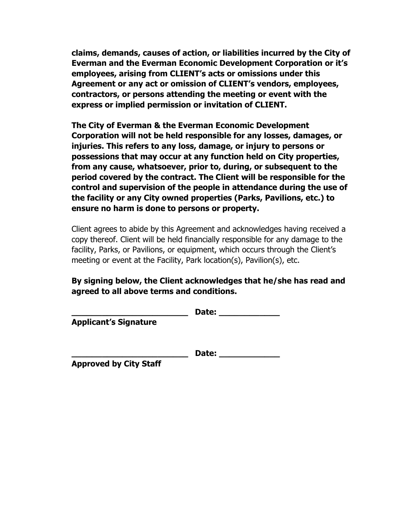**claims, demands, causes of action, or liabilities incurred by the City of Everman and the Everman Economic Development Corporation or it's employees, arising from CLIENT's acts or omissions under this Agreement or any act or omission of CLIENT's vendors, employees, contractors, or persons attending the meeting or event with the express or implied permission or invitation of CLIENT.**

**The City of Everman & the Everman Economic Development Corporation will not be held responsible for any losses, damages, or injuries. This refers to any loss, damage, or injury to persons or possessions that may occur at any function held on City properties, from any cause, whatsoever, prior to, during, or subsequent to the period covered by the contract. The Client will be responsible for the control and supervision of the people in attendance during the use of the facility or any City owned properties (Parks, Pavilions, etc.) to ensure no harm is done to persons or property.**

Client agrees to abide by this Agreement and acknowledges having received a copy thereof. Client will be held financially responsible for any damage to the facility, Parks, or Pavilions, or equipment, which occurs through the Client's meeting or event at the Facility, Park location(s), Pavilion(s), etc.

**By signing below, the Client acknowledges that he/she has read and agreed to all above terms and conditions.**

|                       | Date: |
|-----------------------|-------|
| Annlicant's Cianaturo |       |

**Applicant's Signature**

**\_\_\_\_\_\_\_\_\_\_\_\_\_\_\_\_\_\_\_\_\_\_\_ Date: \_\_\_\_\_\_\_\_\_\_\_\_**

**Approved by City Staff**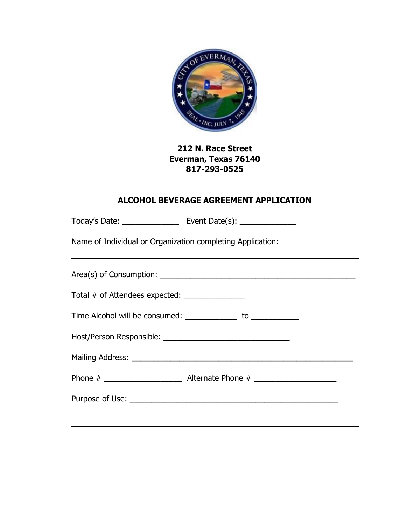

**212 N. Race Street Everman, Texas 76140 817-293-0525**

## **ALCOHOL BEVERAGE AGREEMENT APPLICATION**

| Name of Individual or Organization completing Application:   |  |  |  |  |  |  |  |
|--------------------------------------------------------------|--|--|--|--|--|--|--|
|                                                              |  |  |  |  |  |  |  |
| Total # of Attendees expected: _______________               |  |  |  |  |  |  |  |
| Time Alcohol will be consumed: ______________ to ___________ |  |  |  |  |  |  |  |
|                                                              |  |  |  |  |  |  |  |
|                                                              |  |  |  |  |  |  |  |
|                                                              |  |  |  |  |  |  |  |
|                                                              |  |  |  |  |  |  |  |
|                                                              |  |  |  |  |  |  |  |